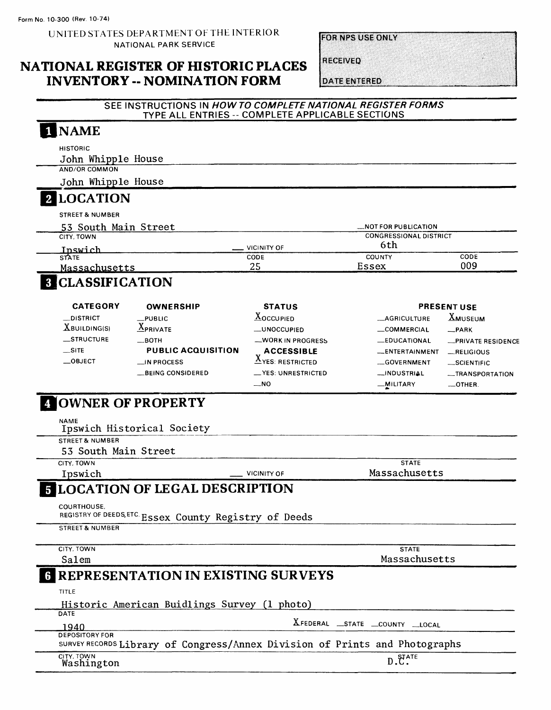UNITED STATES DEPARTMENT OF THE INTERIOR NATIONAL PARK SERVICE

**FOR NPS USE ONLY** 

## **NATIONAL REGISTER OF HISTORIC PLACES INVENTORY -- NOMINATION FORM**

**RECEIVED** 

**DATE ENTERED** 

#### **SEE INSTRUCTIONS IN HOW TO COMPLETE NATIONAL REGISTER FORMS**  TYPE ALL ENTRIES -- COMPLETE APPLICABLE SECTIONS **NAME**

| <b>HISTORIC</b>                                                                                      |                                 |                                 |                         |
|------------------------------------------------------------------------------------------------------|---------------------------------|---------------------------------|-------------------------|
| John Whipple House                                                                                   |                                 |                                 |                         |
| <b>AND/OR COMMON</b>                                                                                 |                                 |                                 |                         |
| John Whipple House                                                                                   |                                 |                                 |                         |
| <b>LOCATION</b>                                                                                      |                                 |                                 |                         |
| <b>STREET &amp; NUMBER</b>                                                                           |                                 |                                 |                         |
| 53 South Main Street                                                                                 |                                 | <b>_NOT FOR PUBLICATION</b>     |                         |
| CITY, TOWN                                                                                           |                                 | <b>CONGRESSIONAL DISTRICT</b>   |                         |
| Inswich                                                                                              | <b>VICINITY OF</b>              | 6th                             |                         |
| <b>STATE</b><br>Massachusetts                                                                        | CODE<br>25                      | COUNTY<br>Essex                 | CODE<br>009             |
| <b>8 CLASSIFICATION</b>                                                                              |                                 |                                 |                         |
| <b>CATEGORY</b><br><b>OWNERSHIP</b>                                                                  | <b>STATUS</b>                   |                                 | <b>PRESENT USE</b>      |
| _DISTRICT<br>$L$ PUBLIC                                                                              | <b>XOCCUPIED</b>                | <b>__AGRICULTURE</b>            | <b>XMUSEUM</b>          |
| $X$ BUILDING(S)<br>$\underline{X}_{\text{PRIVATE}}$                                                  | <b>_UNOCCUPIED</b>              | __COMMERCIAL                    | __PARK                  |
| STRUCTURE<br>__вотн                                                                                  | <b>WORK IN PROGRESS</b>         | <b>__EDUCATIONAL</b>            | -PRIVATE RESIDENCE      |
| $\equiv$ SITE<br><b>PUBLIC ACQUISITION</b>                                                           | <b>ACCESSIBLE</b>               | __ENTERTAINMENT                 | $-$ RELIGIOUS           |
| $\equiv$ OBJECT<br><b>⊥IN PROCESS</b>                                                                | $\underline{X}$ YES: RESTRICTED | __GOVERNMENT                    | SCIENTIFIC              |
| __BEING CONSIDERED                                                                                   | <b>__YES: UNRESTRICTED</b>      | __INDUSTRIAL                    | <b>__TRANSPORTATION</b> |
|                                                                                                      | —NO                             | _MILITARY                       | $\_$ OTHER.             |
| Ipswich Historical Society<br><b>STREET &amp; NUMBER</b><br>53 South Main Street                     |                                 |                                 |                         |
| CITY, TOWN                                                                                           |                                 | <b>STATE</b>                    |                         |
| Ipswich                                                                                              | <b>VICINITY OF</b>              | Massachusetts                   |                         |
| <b>5 LOCATION OF LEGAL DESCRIPTION</b><br>COURTHOUSE,                                                |                                 |                                 |                         |
| REGISTRY OF DEEDS, ETC. ESSEX County Registry of Deeds                                               |                                 |                                 |                         |
| <b>STREET &amp; NUMBER</b>                                                                           |                                 |                                 |                         |
| CITY, TOWN                                                                                           |                                 | <b>STATE</b>                    |                         |
| Salem                                                                                                |                                 | Massachusetts                   |                         |
| <b>6 REPRESENTATION IN EXISTING SURVEYS</b>                                                          |                                 |                                 |                         |
| TITLE<br>Historic American Buidlings Survey (1 photo)                                                |                                 |                                 |                         |
| DATE                                                                                                 |                                 |                                 |                         |
| 1940                                                                                                 |                                 | XFEDERAL _STATE _COUNTY __LOCAL |                         |
| <b>DEPOSITORY FOR</b><br>SURVEY RECORDS Library of Congress/Annex Division of Prints and Photographs |                                 |                                 |                         |
| CITY, TOWN<br>Washington                                                                             |                                 | $D.\mathbf{C}^{\text{ATE}}$     |                         |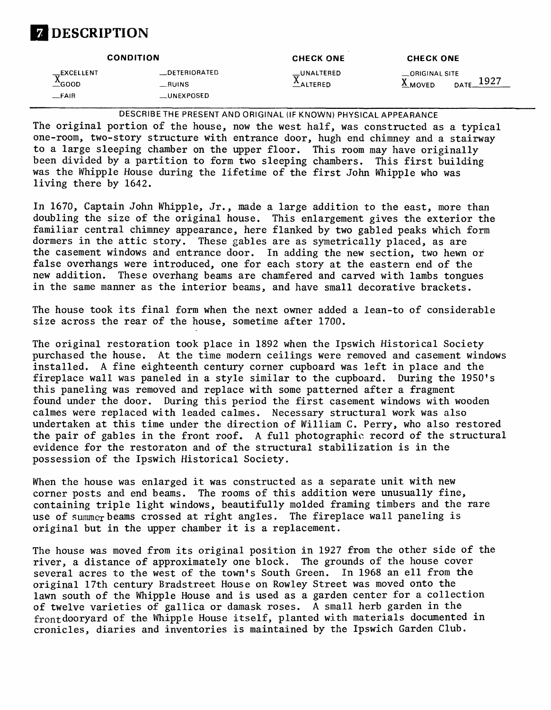# **Z** DESCRIPTION

|                                                                     | <b>CONDITION</b>                              | <b>CHECK ONE</b>          | <b>CHECK ONE</b>                          |
|---------------------------------------------------------------------|-----------------------------------------------|---------------------------|-------------------------------------------|
| $\overline{N}$ EXCELLENT<br>$\triangle$ GOOD<br>$-FA$ <sub>IR</sub> | _DETERIORATED<br>RUNS<br>$_{\perp}$ UNEXPOSED | _UNALTERED<br>$1$ ALTERED | __ORIGINAL SITE<br>$\Delta$ MOVED<br>DATE |

DESCRIBETHE PRESENT AND ORIGINAL (IF KNOWN) PHYSICAL APPEARANCE

The original portion of the house, now the west half, was constructed as a typical one-room, two-story structure with entrance door, hugh end chimney and a stairway to a large sleeping chamber on the upper floor. This room may have originally been divided by a partition to form two sleeping chambers. This first building was the Whipple House during the lifetime of the first John Whipple who was living there by 1642.

In 1670, Captain John Whipple, Jr., made a large addition to the east, more than doubling the size of the original house. This enlargement gives the exterior the familiar central chimney appearance, here flanked by two gabled peaks which form dormers in the attic story. These gables are as symetrically placed, as are the casement windows and entrance door. In adding the new section, two hewn or false overhangs were introduced, one for each story at the eastern end of the new addition. These overhang beams are chamfered and carved with lambs tongues in the same manner as the interior beams, and have small decorative brackets.

The house took its final form when the next owner added a lean-to of considerable size across the rear of the house, sometime after 1700.

The original restoration took place in 1892 when the Ipswich Historical Society purchased the house. At the time modern ceilings were removed and casement windows installed. A fine eighteenth century corner cupboard was left in place and the fireplace wall was paneled in a style similar to the cupboard. During the 1950's this paneling was removed and replace with some patterned after a fragment found under the door. During this period the first casement windows with wooden calmes were replaced with leaded calmes. Necessary structural work was also undertaken at this time under the direction of William C. Perry, who also restored the pair of gables in the front roof. A full photographic record of the structural evidence for the restoraton and of the structural stabilization is in the possession of the Ipswich Historical Society.

When the house was enlarged it was constructed as a separate unit with new corner posts and end beams. The rooms of this addition were unusually fine, containing triple light windows, beautifully molded framing timbers and the rare use of summer beams crossed at right angles. The fireplace wall paneling is original but in the upper chamber it is a replacement.

The house was moved from its original position in 1927 from the other side of the river, a distance of approximately one block. The grounds of the house cover several acres to the west of the town's South Green. In 1968 an ell from the original 17th century Bradstreet House on Rowley Street was moved onto the lawn south of the Whipple House and is used as a garden center for a collection of twelve varieties of gallica or damask roses. A small herb garden in the frontdooryard of the Whipple House itself, planted with materials documented in cronicles, diaries and inventories is maintained by the Ipswich Garden Club.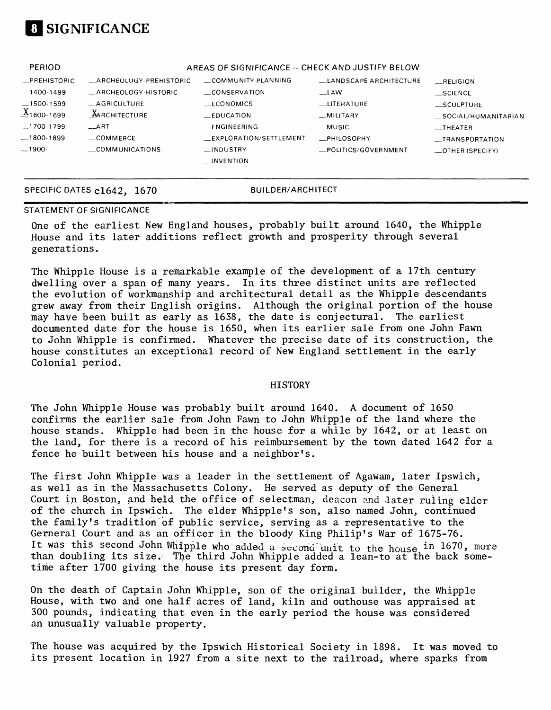

| PERIOD                |                         | AREAS OF SIGNIFICANCE -- CHECK AND JUSTIFY BELOW |                                |                     |
|-----------------------|-------------------------|--------------------------------------------------|--------------------------------|---------------------|
| $-$ PREHISTOPIC       | _ARCHEOLOGY-PREHISTORIC | COMMUNITY PLANNING                               | <b>LLANDSCAPE ARCHITECTURE</b> | RELIGION            |
| $-1400-1499$          | _ARCHEOLOGY-HISTORIC    | CONSERVATION                                     | $\overline{\phantom{a}}$ LAW   | $-SCIENCE$          |
| $-1500 - 1599$        | AGRICULTURE             | ECONOMICS                                        | __LITERATURE                   | __SCULPTURE         |
| $X_{1600 \cdot 1699}$ | $\Delta$ ARCHITECTURE   | —EDUCATION                                       | $-MILITARY$                    | SOCIAL/HUMANITARIAN |
| $-1700-1799$          | $-ART$                  | <b>ENGINEERING</b>                               | _MUSIC                         | $_{-}$ THEATER      |
|                       | $\equiv$ COMMERCE       | <b>EXPLORATION/SETTLEMENT</b>                    | <b>ELPHILOSOPHY</b>            | __TRANSPORTATION    |
| $-1900-$              | COMMUNICATIONS          | INDUSTRY                                         | POLITICS/GOVERNMENT            | _OTHER (SPECIFY)    |
|                       |                         | $\Box$ INVENTION                                 |                                |                     |
|                       |                         |                                                  |                                |                     |

#### SPECIFIC DATES c1642, 1670 BUILDER/ARCHITECT

#### STATEMENT OF SIGNIFICANCE

One of the earliest New England houses, probably built around 1640, the Whipple House and its later additions reflect growth and prosperity through several generations.

The Whipple House is a remarkable example of the development of a 17th century dwelling over a span of many years. In its three distinct units are reflected the evolution of workmanship and architectural detail as the Whipple descendants grew away from their English origins. Although the original portion of the house may have been built as early as 1638, the date is conjectural. The earliest documented date for the house is 1650, when its earlier sale from one John Fawn to John Whipple is confirmed. Whatever the precise date of its construction, the house constitutes an exceptional record of New England settlement in the early Colonial period.

#### **HISTORY**

The John Whipple House was probably built around 1640. A document of 1650 confirms the earlier sale from John Fawn to John Whipple of the land where the house stands. Whipple had been in the house for a while by 1642, or at least on the land, for there is a record of his reimbursement by the town dated 1642 for a fence he built between his house and a neighbor's.

The first John Whipple was a leader in the settlement of Agawam, later Ipswich, as well as in the Massachusetts Colony. He served as deputy of the General Court in Boston, and held the office of selectman, deacon and later ruling elder of the church in Ipswich. The elder Whipple's son, also named John, continued the family's tradition of public service, serving as a representative to the Gerneral Court and as an officer in the bloody King Philip's War of 1675-76. It was this second John Whipple who added a second unit to the house in 1670, more than doubling its size. The third John Whipple added a lean-to at the back sometime after 1700 giving the house its present day form.

On the death of Captain John Whipple, son of the original builder, the Whipple House, with two and one half acres of land, kiln and outhouse was appraised at 300 pounds, indicating that even in the early period the house was considered an unusually valuable property.

The house was acquired by the Ipswich Historical Society in 1898. It was moved to its present location in 1927 from a site next to the railroad, where sparks from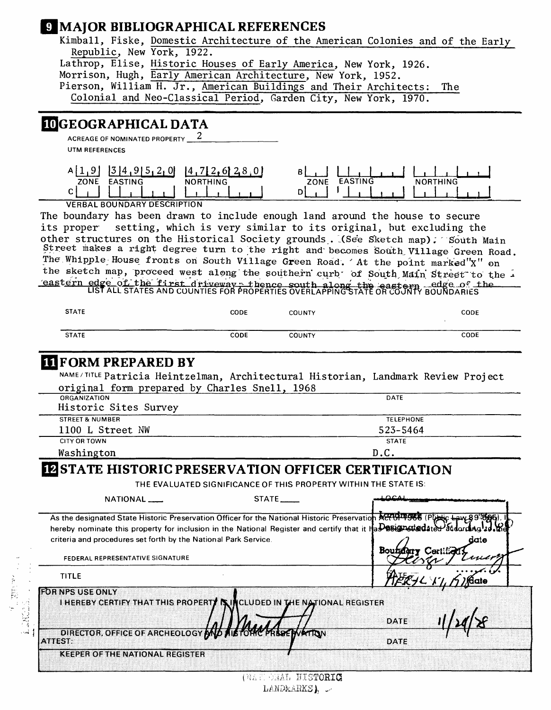## **MAJOR BIBLIOGRAPHICAL REFERENCES**

| Kimball, Fiske, Domestic Architecture of the American Colonies and of the Early |
|---------------------------------------------------------------------------------|
| Republic, New York, 1922.                                                       |
| Lathrop, Elise, Historic Houses of Early America, New York, 1926.               |
| Morrison, Hugh, Early American Architecture, New York, 1952.                    |
| Pierson, William H. Jr., American Buildings and Their Architects: The           |
| Colonial and Neo-Classical Period, Garden City, New York, 1970.                 |
|                                                                                 |
|                                                                                 |

# **3GEOGRAPHICAL DATA**

ACREAGE OF NOMINATED PROPERTY 2 UTM REFERENCES

| OI<br>14<br>61<br>ZONE<br><b>EASTING</b><br><b>NORTHING</b> | <b>EASTING</b><br>NORTHING<br><b>ZONE</b> |
|-------------------------------------------------------------|-------------------------------------------|
|                                                             |                                           |
| VERBAL BOUNDARY BECOBINION                                  |                                           |

VERBAL BOUNDARY DESCRIPTION

The boundary has been drawn to include enough land around the house to secure its proper setting, which is very similar to its original, but excluding the other structures on the Historical Society grounds. (See Sketch map); South Main Street makes a right degree turn to the right and becomes South Village Green Road. The Whipple House fronts on South Village Green Road. 'At the point marked"X" on the sketch map, proceed west along the southern curb' of South Main Street to the eastern edge of the first driveway : thence south along the eastern edge of the

LIST ALL STATES AND COUNTIES FOR PROPERTIES OVERLAPPING STATE OR COUNTY BOUNDARIES

| <b>STATE</b> | CODE | <b>COUNTY</b> | CODE |
|--------------|------|---------------|------|
|              |      |               |      |
| <b>STATE</b> | CODE | <b>COUNTY</b> | CODE |

## **(FORM PREPARED BY**

NAME/TITLE Patricia Heintzelman, Architectural Historian, Landmark Review Project original form prepared by Charles Snell, 1968

| ORGANIZATION               | DATE             |  |  |
|----------------------------|------------------|--|--|
| Historic Sites Survey      |                  |  |  |
| <b>STREET &amp; NUMBER</b> | <b>TELEPHONE</b> |  |  |
| 1100 L Street NW           | 523-5464         |  |  |
| <b>CITY OR TOWN</b>        | <b>STATE</b>     |  |  |
| Washington                 | D.C.             |  |  |

## **HESTATE HISTORIC PRESERVATION OFFICER CERTIFICATION**

THE EVALUATED SIGNIFICANCE OF THIS PROPERTY WITHIN THE STATE IS.

| NATIONAL                                                                                                          | <b>STATE</b>                               | بمصصد |      |
|-------------------------------------------------------------------------------------------------------------------|--------------------------------------------|-------|------|
| As the designated State Historic Preservation Officer for the National Historic Preservation ACTOP 968 (PULIC Law |                                            |       |      |
| hereby nominate this property for inclusion in the National Register and certify that it HaD08ignstadated at      |                                            |       |      |
| criteria and procedures set forth by the National Park Service.                                                   |                                            |       | date |
| FEDERAL REPRESENTATIVE SIGNATURE                                                                                  |                                            | Boui  |      |
| <b>TITLE</b>                                                                                                      |                                            |       |      |
| <b>FOR NPS USE ONLY</b>                                                                                           |                                            |       |      |
| I HEREBY CERTIFY THAT THIS PROPERTY IN                                                                            | <b>THE NATIONAL REGISTER</b><br>ICLUDED IN |       |      |
|                                                                                                                   |                                            | DATE  |      |
| DIRECTOR, OFFICE OF ARCHEOLOGY<br><b>ATTEST:</b>                                                                  |                                            | DATE  |      |
| <b>KEEPER OF THE NATIONAL REGISTER</b>                                                                            |                                            |       |      |
|                                                                                                                   |                                            |       |      |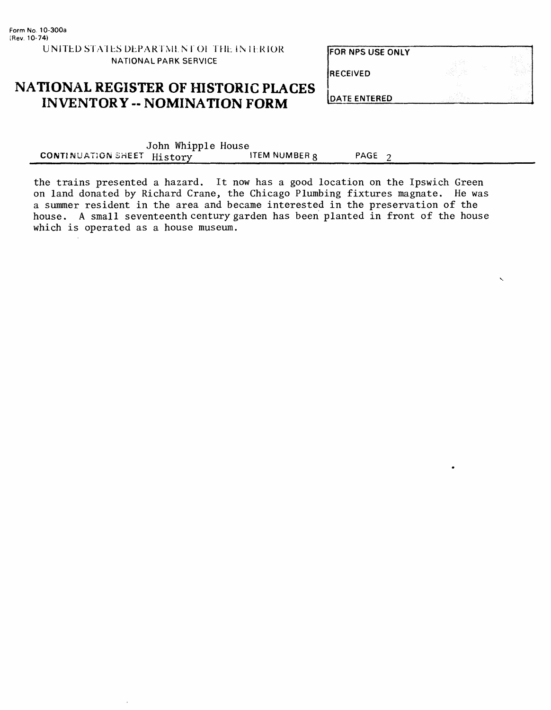FOR NPS USE ONLY

| <b>RECEIVED</b>      | $\sim$<br>14.14<br>. .<br>.,<br><b>Sales Adams</b><br>75 Y<br>14.10<br>6.A | - -<br>$\mathcal{L}^{\mathcal{A}}\left( \mathcal{A}\right) =\mathcal{L}^{\mathcal{A}}\left( \mathcal{A}\right) .$<br>53<br>and the<br>COL.<br>$\sim$ |
|----------------------|----------------------------------------------------------------------------|------------------------------------------------------------------------------------------------------------------------------------------------------|
| <b>IDATE ENTERED</b> |                                                                            |                                                                                                                                                      |

# **NATIONAL REGISTER OF HISTORIC PLACES INVENTORY -- NOMINATION FORM**

|                            | John Whipple House |                      |                   |  |
|----------------------------|--------------------|----------------------|-------------------|--|
| CONTINUATION SHEET History |                    | <b>ITEM NUMBER R</b> | PAGE <sub>2</sub> |  |

the trains presented a hazard. It now has a good location on the Ipswich Green on land donated by Richard Crane, the Chicago Plumbing fixtures magnate. He was a summer resident in the area and became interested in the preservation of the house. A small seventeenth century garden has been planted in front of the house which is operated as a house museum.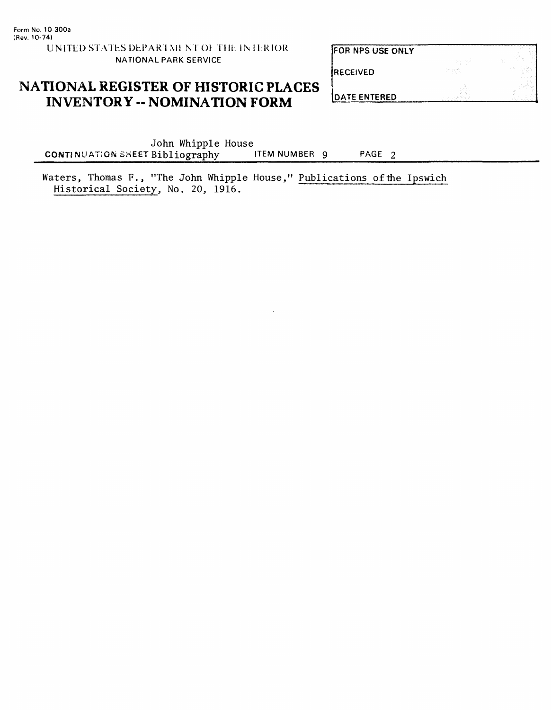# FOR NPS USE ONLY RECEIVED

## **NATIONAL REGISTER OF HISTORIC PLACES INVENTORY -- NOMINATION FORM**

**DATE ENTERED** 

John Whipple House<br>Bibliography ITEM NUMBER 9 **CONTINUATION SHEET Bibliography** ITEM NUMBER 9 PAGE 2

Waters, Thomas F., "The John Whipple House," Publications of the Ipswich Historical Society, No. 20, 1916.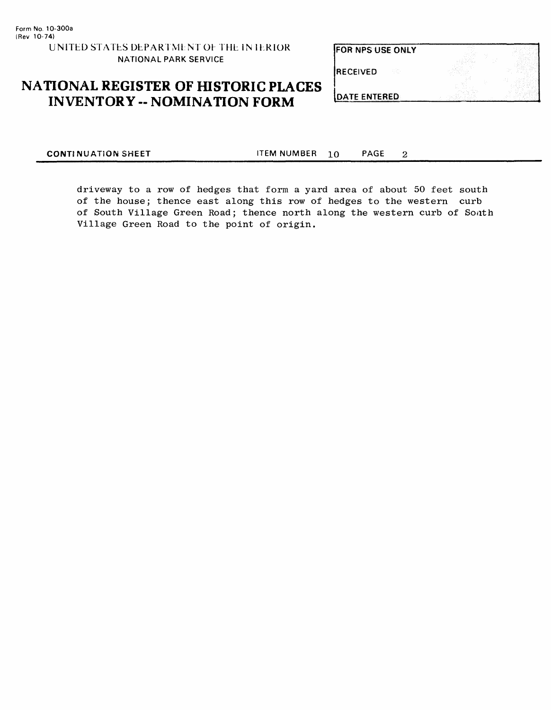**FOR NPS USE ONLY** 

RECEIVED

# **NATIONAL REGISTER OF HISTORIC PLACES INVENTORY -- NOMINATION FORM**

**DATE ENTERED** 

**CONTINUATION SHEET** ITEM NUMBER **10** PAGE

 $\overline{2}$ 

driveway to a row of hedges that form a yard area of about 50 feet south of the house; thence east along this row of hedges to the western curb of South Village Green Road; thence north along the western curb of South Village Green Road to the point of origin.